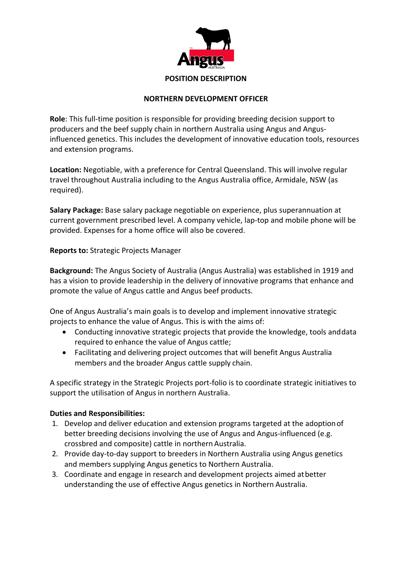

## **NORTHERN DEVELOPMENT OFFICER**

**Role**: This full-time position is responsible for providing breeding decision support to producers and the beef supply chain in northern Australia using Angus and Angus‐ influenced genetics. This includes the development of innovative education tools, resources and extension programs.

**Location:** Negotiable, with a preference for Central Queensland. This will involve regular travel throughout Australia including to the Angus Australia office, Armidale, NSW (as required).

**Salary Package:** Base salary package negotiable on experience, plus superannuation at current government prescribed level. A company vehicle, lap‐top and mobile phone will be provided. Expenses for a home office will also be covered.

**Reports to:** Strategic Projects Manager

**Background:** The Angus Society of Australia (Angus Australia) was established in 1919 and has a vision to provide leadership in the delivery of innovative programs that enhance and promote the value of Angus cattle and Angus beef products.

One of Angus Australia's main goals is to develop and implement innovative strategic projects to enhance the value of Angus. This is with the aims of:

- Conducting innovative strategic projects that provide the knowledge, tools anddata required to enhance the value of Angus cattle;
- Facilitating and delivering project outcomes that will benefit Angus Australia members and the broader Angus cattle supply chain.

A specific strategy in the Strategic Projects port‐folio is to coordinate strategic initiatives to support the utilisation of Angus in northern Australia.

## **Duties and Responsibilities:**

- 1. Develop and deliver education and extension programs targeted at the adoptionof better breeding decisions involving the use of Angus and Angus-influenced (e.g. crossbred and composite) cattle in northern Australia.
- 2. Provide day‐to‐day support to breeders in Northern Australia using Angus genetics and members supplying Angus genetics to Northern Australia.
- 3. Coordinate and engage in research and development projects aimed atbetter understanding the use of effective Angus genetics in Northern Australia.